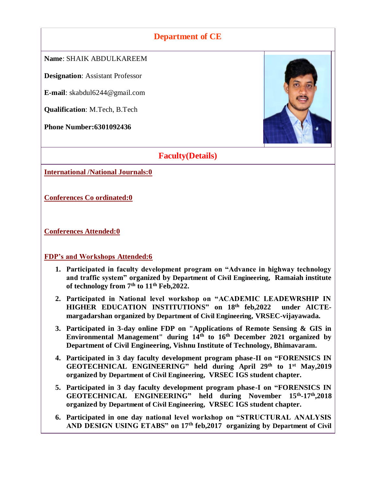## **Department of CE**

**Name**: SHAIK ABDULKAREEM

**Designation**: Assistant Professor

**E-mail**: skabdul6244@gmail.com

**Qualification**: M.Tech, B.Tech

**Phone Number:6301092436**



### **Faculty(Details)**

**International /National Journals:0**

**Conferences Co ordinated:0**

**Conferences Attended:0**

**FDP's and Workshops Attended:6**

- **1. Participated in faculty development program on "Advance in highway technology and traffic system" organized by Department of Civil Engineering, Ramaiah institute of technology from 7th to 11th Feb,2022.**
- **2. Participated in National level workshop on "ACADEMIC LEADEWRSHIP IN HIGHER EDUCATION INSTITUTIONS" on 18th feb,2022 under AICTEmargadarshan organized by Department of Civil Engineering, VRSEC-vijayawada.**
- **3. Participated in 3-day online FDP on "Applications of Remote Sensing & GIS in Environmental Management" during 14th to 16th December 2021 organized by Department of Civil Engineering, Vishnu Institute of Technology, Bhimavaram.**
- **4. Participated in 3 day faculty development program phase-II on "FORENSICS IN GEOTECHNICAL ENGINEERING" held during April 29th to 1st May,2019 organized by Department of Civil Engineering, VRSEC IGS student chapter.**
- **5. Participated in 3 day faculty development program phase-I on "FORENSICS IN GEOTECHNICAL ENGINEERING" held during November 15th -17th,2018 organized by Department of Civil Engineering, VRSEC IGS student chapter.**
- **6. Participated in one day national level workshop on "STRUCTURAL ANALYSIS AND DESIGN USING ETABS" on 17th feb,2017 organizing by Department of Civil**